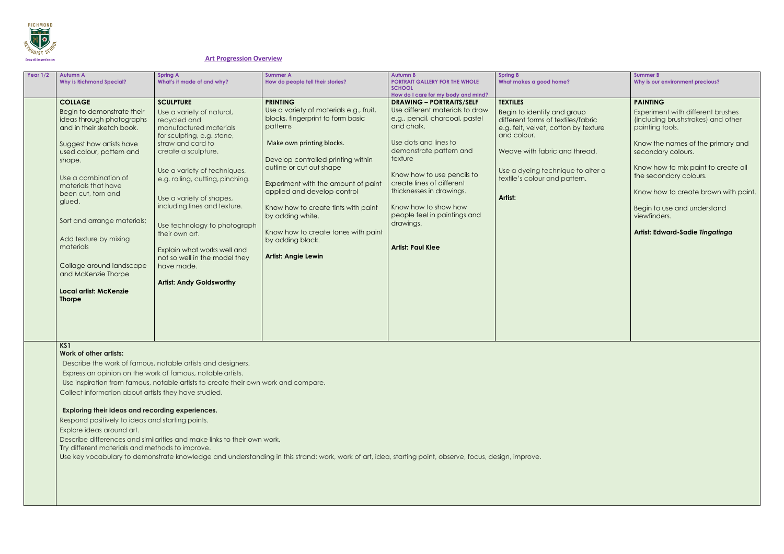

#### **Art Progression Overview**

| Year $1/2$ | <b>Autumn A</b><br><b>Why is Richmond Special?</b>                                                                                                                                                                                                                                                                                                                                                                                | <b>Spring A</b><br>What's it made of and why?                                                                                                                                                                                                                                                                                                                                                                                                                        | <b>Summer A</b><br>How do people tell their stories?                                                                                                                                                                                                                                                                                                                                                                                 | <b>Autumn B</b><br><b>PORTRAIT GALLERY FOR THE WHOLE</b><br><b>SCHOOL</b><br>How do I care for my body and mind?                                                                                                                                                                                                                                                          | <b>Spring B</b><br>What makes a good home?                                                                                                                                                                                                                    |
|------------|-----------------------------------------------------------------------------------------------------------------------------------------------------------------------------------------------------------------------------------------------------------------------------------------------------------------------------------------------------------------------------------------------------------------------------------|----------------------------------------------------------------------------------------------------------------------------------------------------------------------------------------------------------------------------------------------------------------------------------------------------------------------------------------------------------------------------------------------------------------------------------------------------------------------|--------------------------------------------------------------------------------------------------------------------------------------------------------------------------------------------------------------------------------------------------------------------------------------------------------------------------------------------------------------------------------------------------------------------------------------|---------------------------------------------------------------------------------------------------------------------------------------------------------------------------------------------------------------------------------------------------------------------------------------------------------------------------------------------------------------------------|---------------------------------------------------------------------------------------------------------------------------------------------------------------------------------------------------------------------------------------------------------------|
|            | <b>COLLAGE</b><br>Begin to demonstrate their<br>ideas through photographs<br>and in their sketch book.<br>Suggest how artists have<br>used colour, pattern and<br>shape.<br>Use a combination of<br>materials that have<br>been cut, torn and<br>glued.<br>Sort and arrange materials;<br>Add texture by mixing<br>materials<br>Collage around landscape<br>and McKenzie Thorpe<br><b>Local artist: McKenzie</b><br><b>Thorpe</b> | <b>SCULPTURE</b><br>Use a variety of natural,<br>recycled and<br>manufactured materials<br>for sculpting, e.g. stone,<br>straw and card to<br>create a sculpture.<br>Use a variety of techniques,<br>e.g. rolling, cutting, pinching.<br>Use a variety of shapes,<br>including lines and texture.<br>Use technology to photograph<br>their own art.<br>Explain what works well and<br>not so well in the model they<br>have made.<br><b>Artist: Andy Goldsworthy</b> | <b>PRINTING</b><br>Use a variety of materials e.g., fruit,<br>blocks, fingerprint to form basic<br>patterns<br>Make own printing blocks.<br>Develop controlled printing within<br>outline or cut out shape<br>Experiment with the amount of paint<br>applied and develop control<br>Know how to create tints with paint<br>by adding white.<br>Know how to create tones with paint<br>by adding black.<br><b>Artist: Angie Lewin</b> | <b>DRAWING - PORTRAITS/SELF</b><br>Use different materials to draw<br>e.g., pencil, charcoal, pastel<br>and chalk.<br>Use dots and lines to<br>demonstrate pattern and<br>texture<br>Know how to use pencils to<br>create lines of different<br>thicknesses in drawings.<br>Know how to show how<br>people feel in paintings and<br>drawings.<br><b>Artist: Paul Klee</b> | <b>TEXTILES</b><br>Begin to identify and group<br>different forms of textiles/fabric<br>e.g. felt, velvet, cotton by texture<br>and colour.<br>Weave with fabric and thread.<br>Use a dyeing technique to alter a<br>textile's colour and pattern.<br>Artist: |

|                 | <b>Summer B</b><br>Why is our environment precious?                                                                                                                      |
|-----------------|--------------------------------------------------------------------------------------------------------------------------------------------------------------------------|
| C<br>ture<br>J. | <b>PAINTING</b><br>Experiment with different brushes<br>(including brushstrokes) and other<br>painting tools.<br>Know the names of the primary and<br>secondary colours. |
| er a            | Know how to mix paint to create all<br>the secondary colours.<br>Know how to create brown with paint.<br>Begin to use and understand<br>viewfinders.                     |
|                 | Artist: Edward-Sadie Tingatinga                                                                                                                                          |

**KS1**

### **Work of other artists:**

Describe the work of famous, notable artists and designers.

Express an opinion on the work of famous, notable artists.

Use inspiration from famous, notable artists to create their own work and compare.

Collect information about artists they have studied.

## **Exploring their ideas and recording experiences.**

Respond positively to ideas and starting points.

Explore ideas around art.

Describe differences and similarities and make links to their own work.

Try different materials and methods to improve.

Use key vocabulary to demonstrate knowledge and understanding in this strand: work, work of art, idea, starting point, observe, focus, design, improve.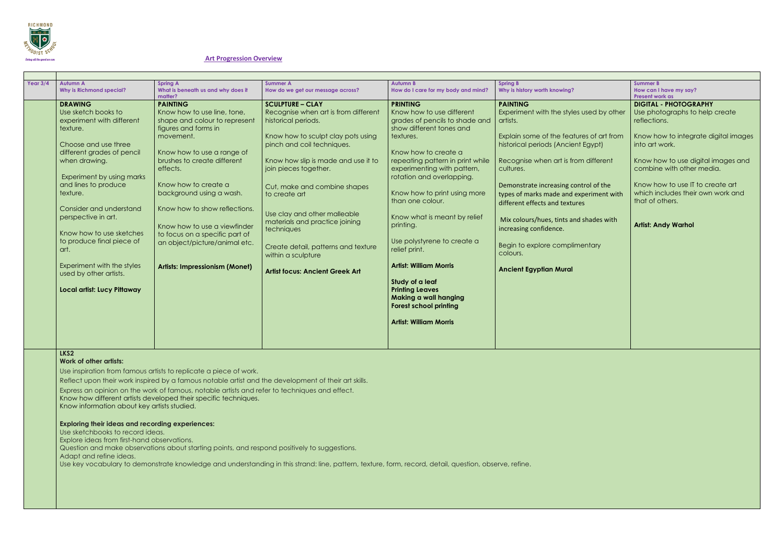

#### **Art Progression Overview**

| Year $3/4$ | <b>Autumn A</b>                 | <b>Spring A</b>                       | <b>Summer A</b>                        | <b>Autumn B</b>                     | <b>Spring B</b>                          | <b>Summer B</b>                      |
|------------|---------------------------------|---------------------------------------|----------------------------------------|-------------------------------------|------------------------------------------|--------------------------------------|
|            | <b>Why is Richmond special?</b> | What is beneath us and why does it    | How do we get our message across?      | How do I care for my body and mind? | Why is history worth knowing?            | How can I have my say?               |
|            |                                 | matter?                               |                                        |                                     |                                          | <b>Present work as</b>               |
|            | <b>DRAWING</b>                  | <b>PAINTING</b>                       | <b>SCULPTURE - CLAY</b>                | <b>PRINTING</b>                     | <b>PAINTING</b>                          | <b>DIGITAL - PHOTOGRAPHY</b>         |
|            | Use sketch books to             | Know how to use line, tone,           | Recognise when art is from different   | Know how to use different           | Experiment with the styles used by other | Use photographs to help create       |
|            | experiment with different       | shape and colour to represent         | historical periods.                    | grades of pencils to shade and      | artists.                                 | reflections.                         |
|            | texture.                        | figures and forms in                  |                                        | show different tones and            |                                          |                                      |
|            |                                 | movement.                             | Know how to sculpt clay pots using     | textures.                           | Explain some of the features of art from | Know how to integrate digital images |
|            | Choose and use three            |                                       | pinch and coil techniques.             |                                     | historical periods (Ancient Egypt)       | into art work.                       |
|            | different grades of pencil      | Know how to use a range of            |                                        | Know how to create a                |                                          |                                      |
|            | when drawing.                   | brushes to create different           | Know how slip is made and use it to    | repeating pattern in print while    | Recognise when art is from different     | Know how to use digital images and   |
|            |                                 | effects.                              | join pieces together.                  | experimenting with pattern,         | cultures.                                | combine with other media.            |
|            | Experiment by using marks       |                                       |                                        | rotation and overlapping.           |                                          |                                      |
|            | and lines to produce            | Know how to create a                  |                                        |                                     | Demonstrate increasing control of the    | Know how to use IT to create art     |
|            | texture.                        | background using a wash.              | Cut, make and combine shapes           | Know how to print using more        |                                          | which includes their own work and    |
|            |                                 |                                       | to create art                          | than one colour.                    | types of marks made and experiment with  | that of others.                      |
|            | Consider and understand         | Know how to show reflections.         |                                        |                                     | different effects and textures           |                                      |
|            | perspective in art.             |                                       | Use clay and other malleable           | Know what is meant by relief        |                                          |                                      |
|            |                                 |                                       | materials and practice joining         |                                     | Mix colours/hues, tints and shades with  | <b>Artist: Andy Warhol</b>           |
|            |                                 | Know how to use a viewfinder          | techniques                             | printing.                           | increasing confidence.                   |                                      |
|            | Know how to use sketches        | to focus on a specific part of        |                                        |                                     |                                          |                                      |
|            | to produce final piece of       | an object/picture/animal etc.         | Create detail, patterns and texture    | Use polystyrene to create a         | Begin to explore complimentary           |                                      |
|            | art.                            |                                       | within a sculpture                     | relief print.                       | colours.                                 |                                      |
|            |                                 |                                       |                                        |                                     |                                          |                                      |
|            | Experiment with the styles      | <b>Artists: Impressionism (Monet)</b> | <b>Artist focus: Ancient Greek Art</b> | <b>Artist: William Morris</b>       | <b>Ancient Egyptian Mural</b>            |                                      |
|            | used by other artists.          |                                       |                                        |                                     |                                          |                                      |
|            |                                 |                                       |                                        | Study of a leaf                     |                                          |                                      |
|            | Local artist: Lucy Pittaway     |                                       |                                        | <b>Printing Leaves</b>              |                                          |                                      |
|            |                                 |                                       |                                        | Making a wall hanging               |                                          |                                      |
|            |                                 |                                       |                                        | <b>Forest school printing</b>       |                                          |                                      |
|            |                                 |                                       |                                        |                                     |                                          |                                      |
|            |                                 |                                       |                                        | <b>Artist: William Morris</b>       |                                          |                                      |
|            |                                 |                                       |                                        |                                     |                                          |                                      |
|            |                                 |                                       |                                        |                                     |                                          |                                      |
|            |                                 |                                       |                                        |                                     |                                          |                                      |

**LKS2**

**Work of other artists:**

Use inspiration from famous artists to replicate a piece of work.

Reflect upon their work inspired by a famous notable artist and the development of their art skills.

Express an opinion on the work of famous, notable artists and refer to techniques and effect.

Know how different artists developed their specific techniques.

Know information about key artists studied.

#### **Exploring their ideas and recording experiences:**

Use sketchbooks to record ideas.

Explore ideas from first-hand observations.

Question and make observations about starting points, and respond positively to suggestions.

Adapt and refine ideas.

Use key vocabulary to demonstrate knowledge and understanding in this strand: line, pattern, texture, form, record, detail, question, observe, refine.